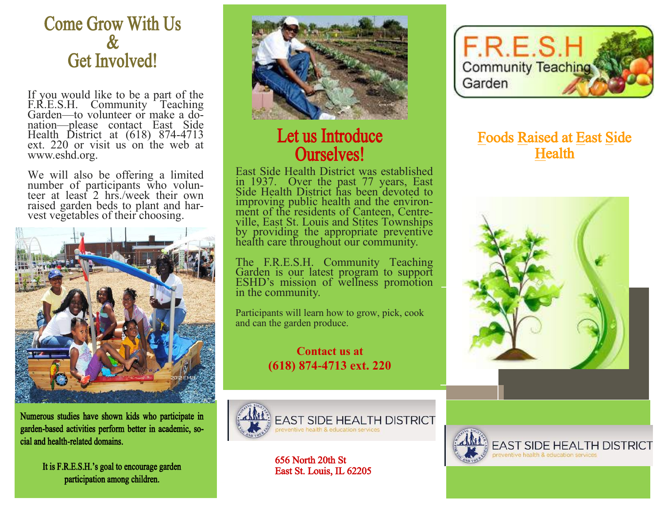## Come Grow With Us & Get Involved!

If you would like to be a part of the F.R.E.S.H. Community Teaching Garden—to volunteer or make a donation—please contact East Side Health District at (618) 874-4713 ext. 220 or visit us on the web at www.eshd.org.

We will also be offering a limited number of participants who volunteer at least 2 hrs./week their own raised garden beds to plant and harvest vegetables of their choosing.



Numerous studies have shown kids who participate in garden-based activities perform better in academic, social and health-related domains.

> It is F.R.E.S.H.'s goal to encourage garden participation among children.



## Let us Introduce Ourselves!

East Side Health District was established in 1937. Over the past 77 years, East Side Health District has been devoted to improving public health and the environment of the residents of Canteen, Centreville, East St. Louis and Stites Townships by providing the appropriate preventive health care throughout our community.

The F.R.E.S.H. Community Teaching Garden is our latest program to support ESHD's mission of wellness promotion in the community.

Participants will learn how to grow, pick, cook and can the garden produce.

> **Contact us at (618) 874-4713 ext. 220**



656 North 20th St East St. Louis, IL 62205



### Foods Raised at East Side **Health**